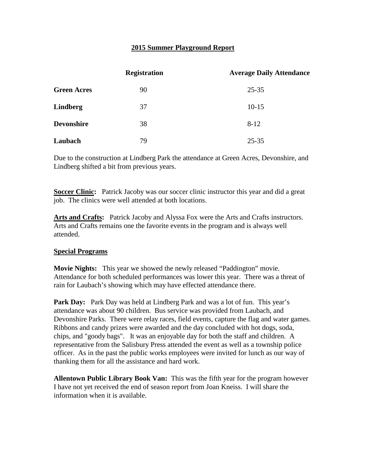## **2015 Summer Playground Report**

|                    | <b>Registration</b> | <b>Average Daily Attendance</b> |
|--------------------|---------------------|---------------------------------|
| <b>Green Acres</b> | 90                  | $25 - 35$                       |
| <b>Lindberg</b>    | 37                  | $10-15$                         |
| <b>Devonshire</b>  | 38                  | $8 - 12$                        |
| Laubach            | 79                  | $25 - 35$                       |

Due to the construction at Lindberg Park the attendance at Green Acres, Devonshire, and Lindberg shifted a bit from previous years.

**Soccer Clinic:** Patrick Jacoby was our soccer clinic instructor this year and did a great job. The clinics were well attended at both locations.

**Arts and Crafts:** Patrick Jacoby and Alyssa Fox were the Arts and Crafts instructors. Arts and Crafts remains one the favorite events in the program and is always well attended.

## **Special Programs**

**Movie Nights:** This year we showed the newly released "Paddington" movie. Attendance for both scheduled performances was lower this year. There was a threat of rain for Laubach's showing which may have effected attendance there.

Park Day: Park Day was held at Lindberg Park and was a lot of fun. This year's attendance was about 90 children. Bus service was provided from Laubach, and Devonshire Parks. There were relay races, field events, capture the flag and water games. Ribbons and candy prizes were awarded and the day concluded with hot dogs, soda, chips, and "goody bags". It was an enjoyable day for both the staff and children. A representative from the Salisbury Press attended the event as well as a township police officer. As in the past the public works employees were invited for lunch as our way of thanking them for all the assistance and hard work.

**Allentown Public Library Book Van:** This was the fifth year for the program however I have not yet received the end of season report from Joan Kneiss. I will share the information when it is available.